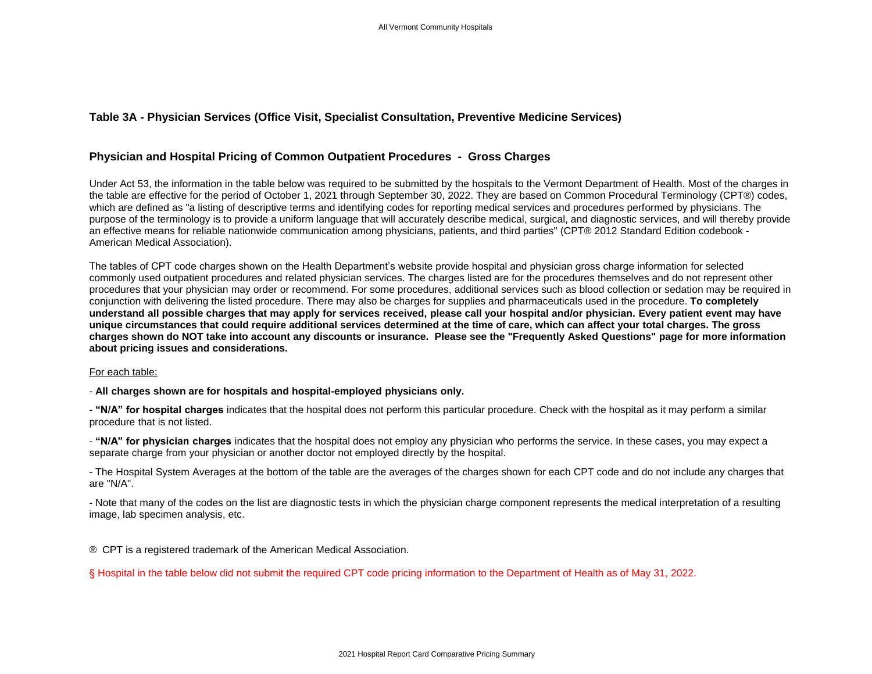## **Table 3A - Physician Services (Office Visit, Specialist Consultation, Preventive Medicine Services)**

## **Physician and Hospital Pricing of Common Outpatient Procedures - Gross Charges**

Under Act 53, the information in the table below was required to be submitted by the hospitals to the Vermont Department of Health. Most of the charges in the table are effective for the period of October 1, 2021 through September 30, 2022. They are based on Common Procedural Terminology (CPT®) codes, which are defined as "a listing of descriptive terms and identifying codes for reporting medical services and procedures performed by physicians. The purpose of the terminology is to provide a uniform language that will accurately describe medical, surgical, and diagnostic services, and will thereby provide an effective means for reliable nationwide communication among physicians, patients, and third parties" (CPT® 2012 Standard Edition codebook - American Medical Association).

The tables of CPT code charges shown on the Health Department's website provide hospital and physician gross charge information for selected commonly used outpatient procedures and related physician services. The charges listed are for the procedures themselves and do not represent other procedures that your physician may order or recommend. For some procedures, additional services such as blood collection or sedation may be required in conjunction with delivering the listed procedure. There may also be charges for supplies and pharmaceuticals used in the procedure. **To completely understand all possible charges that may apply for services received, please call your hospital and/or physician. Every patient event may have unique circumstances that could require additional services determined at the time of care, which can affect your total charges. The gross charges shown do NOT take into account any discounts or insurance. Please see the "Frequently Asked Questions" page for more information about pricing issues and considerations.**

## For each table:

- **All charges shown are for hospitals and hospital-employed physicians only.**

- **"N/A" for hospital charges** indicates that the hospital does not perform this particular procedure. Check with the hospital as it may perform a similar procedure that is not listed.

- **"N/A" for physician charges** indicates that the hospital does not employ any physician who performs the service. In these cases, you may expect a separate charge from your physician or another doctor not employed directly by the hospital.

- The Hospital System Averages at the bottom of the table are the averages of the charges shown for each CPT code and do not include any charges that are "N/A".

- Note that many of the codes on the list are diagnostic tests in which the physician charge component represents the medical interpretation of a resulting image, lab specimen analysis, etc.

® CPT is a registered trademark of the American Medical Association.

§ Hospital in the table below did not submit the required CPT code pricing information to the Department of Health as of May 31, 2022.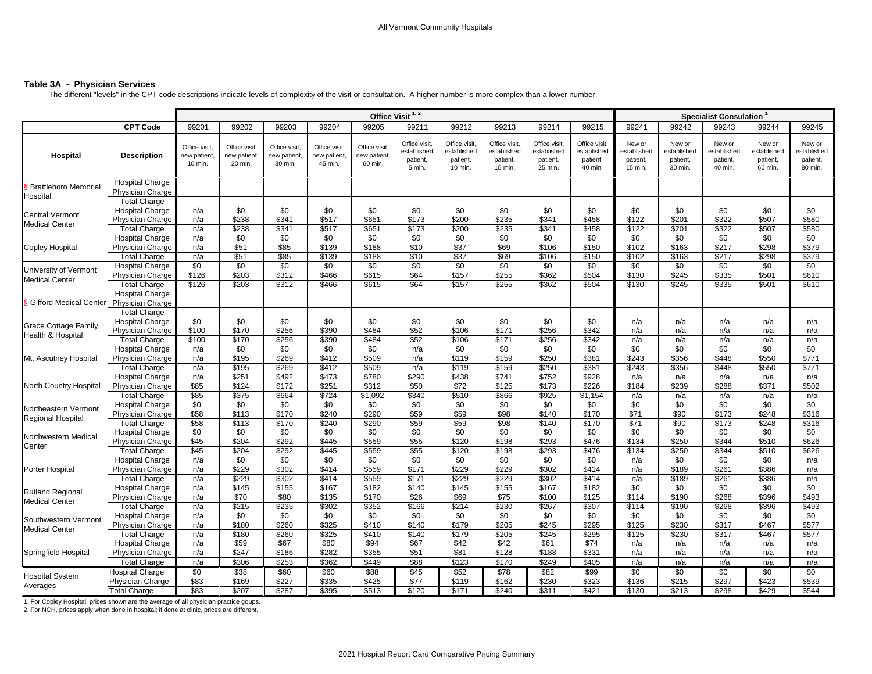## **Table 3A - Physician Services**

- The different "levels" in the CPT code descriptions indicate levels of complexity of the visit or consultation. A higher number is more complex than a lower number.

|                                                  |                                                                          |                                         | Office Visit <sup>1,2</sup>              |                                          |                                          |                                         |                                                    |                                                     |                                                     |                                                     | Specialist Consulation <sup>1</sup>                 |                                              |                                              |                                              |                                              |                                              |
|--------------------------------------------------|--------------------------------------------------------------------------|-----------------------------------------|------------------------------------------|------------------------------------------|------------------------------------------|-----------------------------------------|----------------------------------------------------|-----------------------------------------------------|-----------------------------------------------------|-----------------------------------------------------|-----------------------------------------------------|----------------------------------------------|----------------------------------------------|----------------------------------------------|----------------------------------------------|----------------------------------------------|
|                                                  | <b>CPT Code</b>                                                          | 99201                                   | 99202                                    | 99203                                    | 99204                                    | 99205                                   | 99211                                              | 99212                                               | 99213                                               | 99214                                               | 99215                                               | 99241                                        | 99242                                        | 99243                                        | 99244                                        | 99245                                        |
| Hospital                                         | <b>Description</b>                                                       | Office visit,<br>new patient<br>10 min. | Office visit,<br>new patient,<br>20 min. | Office visit,<br>new patient,<br>30 min. | Office visit,<br>new patient,<br>45 min. | Office visit<br>new patient,<br>60 min. | Office visit,<br>established<br>patient,<br>5 min. | Office visit,<br>established<br>patient,<br>10 min. | Office visit,<br>established<br>patient,<br>15 min. | Office visit,<br>established<br>patient,<br>25 min. | Office visit,<br>established<br>patient,<br>40 min. | New or<br>established<br>patient,<br>15 min. | New or<br>established<br>patient,<br>30 min. | New or<br>established<br>patient,<br>40 min. | New or<br>established<br>patient.<br>60 min. | New or<br>established<br>patient,<br>80 min. |
| <b>Brattleboro Memorial</b><br>Hospital          | <b>Hospital Charge</b><br>Physician Charge<br><b>Total Charge</b>        |                                         |                                          |                                          |                                          |                                         |                                                    |                                                     |                                                     |                                                     |                                                     |                                              |                                              |                                              |                                              |                                              |
| <b>Central Vermont</b><br><b>Medical Center</b>  | <b>Hospital Charge</b><br>Physician Charge<br><b>Total Charge</b>        | n/a<br>n/a<br>n/a                       | \$0<br>\$238<br>\$238                    | \$0<br>\$341<br>\$341                    | \$0<br>\$517<br>\$517                    | \$0<br>\$651<br>\$651                   | \$0<br>\$173<br>\$173                              | \$0<br>\$200<br>\$200                               | \$0<br>\$235<br>\$235                               | \$0<br>\$341<br>\$341                               | \$0<br>\$458<br>\$458                               | $\overline{50}$<br>\$122<br>\$122            | \$0<br>\$201<br>\$201                        | \$0<br>\$322<br>\$322                        | \$0<br>\$507<br>\$507                        | \$0<br>\$580<br>\$580                        |
| Copley Hospital                                  | <b>Hospital Charge</b><br>Physician Charge<br><b>Total Charge</b>        | n/a<br>n/a<br>n/a                       | \$0<br>\$51<br>\$51                      | \$0<br>\$85<br>\$85                      | \$0<br>\$139<br>\$139                    | $\sqrt{6}$<br>\$188<br>\$188            | \$0<br>\$10<br>\$10                                | $\frac{1}{20}$<br>\$37<br>\$37                      | $\frac{1}{20}$<br>\$69<br>\$69                      | \$0<br>\$106<br>\$106                               | \$0<br>\$150<br>\$150                               | \$0<br>\$102<br>\$102                        | \$0<br>\$163<br>\$163                        | \$0<br>\$217<br>\$217                        | $\sqrt{6}$<br>\$298<br>\$298                 | $\sqrt{60}$<br>\$379<br>\$379                |
| University of Vermont<br><b>Medical Center</b>   | <b>Hospital Charge</b><br>Physician Charge<br><b>Total Charge</b>        | \$0<br>\$126<br>\$126                   | \$0<br>\$203<br>\$203                    | \$0<br>\$312<br>\$312                    | \$0<br>\$466<br>\$466                    | \$0<br>\$615<br>\$615                   | \$0<br>\$64<br>\$64                                | \$0<br>\$157<br>\$157                               | \$0<br>\$255<br>\$255                               | \$0<br>\$362<br>\$362                               | \$0<br>\$504<br>\$504                               | \$0<br>\$130<br>\$130                        | \$0<br>\$245<br>\$245                        | \$0<br>\$335<br>\$335                        | \$0<br>\$501<br>\$501                        | \$0<br>\$610<br>\$610                        |
| Gifford Medical Center                           | <b>Hospital Charge</b><br>Physician Charge<br><b>Total Charge</b>        |                                         |                                          |                                          |                                          |                                         |                                                    |                                                     |                                                     |                                                     |                                                     |                                              |                                              |                                              |                                              |                                              |
| <b>Grace Cottage Family</b><br>Health & Hospital | <b>Hospital Charge</b><br>Physician Charge<br><b>Total Charge</b>        | \$0<br>\$100<br>\$100                   | \$0<br>\$170<br>\$170                    | \$0<br>\$256<br>\$256                    | \$0<br>\$390<br>\$390                    | \$0<br>\$484<br>\$484                   | \$0<br>\$52<br>\$52                                | \$0<br>\$106<br>\$106                               | \$0<br>\$171<br>\$171                               | \$0<br>\$256<br>\$256                               | \$0<br>\$342<br>\$342                               | n/a<br>n/a<br>n/a                            | n/a<br>n/a<br>n/a                            | n/a<br>n/a<br>n/a                            | n/a<br>n/a<br>n/a                            | n/a<br>n/a<br>n/a                            |
| Mt. Ascutney Hospital                            | <b>Hospital Charge</b><br>Physician Charge<br><b>Total Charge</b>        | n/a<br>n/a<br>n/a                       | $\overline{30}$<br>\$195<br>\$195        | \$0<br>\$269<br>\$269                    | $\overline{50}$<br>\$412<br>\$412        | $\sqrt{50}$<br>\$509<br>\$509           | n/a<br>n/a<br>n/a                                  | $\overline{50}$<br>\$119<br>\$119                   | $\overline{50}$<br>\$159<br>\$159                   | $\overline{50}$<br>\$250<br>\$250                   | $\overline{30}$<br>\$381<br>\$381                   | \$0<br>\$243<br>\$243                        | \$0<br>\$356<br>\$356                        | \$0<br>\$448<br>\$448                        | $\overline{50}$<br>\$550<br>\$550            | $\overline{50}$<br>\$771<br>\$771            |
| North Country Hospital                           | <b>Hospital Charge</b><br>Physician Charge<br><b>Total Charge</b>        | n/a<br>\$85<br>\$85                     | \$251<br>\$124<br>\$375                  | \$492<br>\$172<br>\$664                  | \$473<br>\$251<br>\$724                  | \$780<br>\$312<br>\$1,092               | \$290<br>\$50<br>\$340                             | \$438<br>\$72<br>\$510                              | \$741<br>\$125<br>\$866                             | \$752<br>\$173<br>\$925                             | \$928<br>\$226<br>\$1,154                           | n/a<br>\$184<br>n/a                          | n/a<br>\$239<br>n/a                          | n/a<br>\$288<br>n/a                          | n/a<br>\$371<br>n/a                          | n/a<br>\$502<br>n/a                          |
| Northeastern Vermont<br>Regional Hospital        | <b>Hospital Charge</b><br>Physician Charge<br>Total Charge               | \$0<br>\$58<br>\$58                     | \$0<br>\$113<br>\$113                    | \$0<br>\$170<br>\$170                    | \$0<br>\$240<br>\$240                    | \$0<br>\$290<br>\$290                   | \$0<br>\$59<br>\$59                                | \$0<br>\$59<br>\$59                                 | \$0<br>\$98<br>\$98                                 | \$0<br>\$140<br>\$140                               | \$0<br>\$170<br>\$170                               | \$0<br>\$71<br>\$71                          | \$0<br>\$90<br>\$90                          | \$0<br>\$173<br>\$173                        | \$0<br>\$248<br>\$248                        | \$0<br>\$316<br>\$316                        |
| Northwestern Medical<br>Center                   | <b>Hospital Charge</b><br>Physician Charge<br><b>Total Charge</b>        | \$0<br>\$45<br>\$45                     | \$0<br>\$204<br>\$204                    | \$0<br>\$292<br>\$292                    | \$0<br>\$445<br>\$445                    | \$0<br>\$559<br>\$559                   | \$0<br>\$55<br>\$55                                | \$0<br>\$120<br>\$120                               | \$0<br>\$198<br>\$198                               | \$0<br>\$293<br>\$293                               | \$0<br>\$476<br>\$476                               | \$0<br>\$134<br>\$134                        | \$0<br>\$250<br>\$250                        | $\sqrt{6}$<br>\$344<br>\$344                 | $\sqrt{6}$<br>\$510<br>\$510                 | \$0<br>\$626<br>\$626                        |
| Porter Hospital                                  | <b>Hospital Charge</b><br>Physician Charge<br><b>Total Charge</b>        | n/a<br>n/a<br>n/a                       | \$0<br>\$229<br>\$229                    | \$0<br>\$302<br>\$302                    | \$0<br>\$414<br>\$414                    | \$0<br>\$559<br>\$559                   | \$0<br>\$171<br>\$171                              | \$0<br>\$229<br>\$229                               | \$0<br>\$229<br>\$229                               | \$0<br>\$302<br>\$302                               | \$0<br>\$414<br>\$414                               | n/a<br>n/a<br>n/a                            | \$0<br>\$189<br>\$189                        | \$0<br>\$261<br>\$261                        | \$0<br>\$386<br>\$386                        | n/a<br>n/a<br>n/a                            |
| <b>Rutland Regional</b><br><b>Medical Center</b> | <b>Hospital Charge</b><br><b>Physician Charge</b><br><b>Total Charge</b> | n/a<br>n/a<br>n/a                       | \$145<br>\$70<br>\$215                   | \$155<br>\$80<br>\$235                   | \$167<br>\$135<br>\$302                  | \$182<br>\$170<br>\$352                 | \$140<br>\$26<br>\$166                             | \$145<br>\$69<br>\$214                              | \$155<br>\$75<br>\$230                              | \$167<br>\$100<br>\$267                             | \$182<br>\$125<br>\$307                             | \$0<br>\$114<br>\$114                        | \$0<br>\$190<br>\$190                        | $\sqrt{6}$<br>\$268<br>\$268                 | \$0<br>\$396<br>\$396                        | \$0<br>\$493<br>\$493                        |
| Southwestern Vermont<br><b>Medical Center</b>    | <b>Hospital Charge</b><br>Physician Charge<br><b>Total Charge</b>        | n/a<br>n/a<br>n/a                       | $\overline{30}$<br>\$180<br>\$180        | \$0<br>\$260<br>\$260                    | \$0<br>\$325<br>\$325                    | $\overline{30}$<br>\$410<br>\$410       | $\overline{$}0$<br>\$140<br>\$140                  | $\overline{30}$<br>\$179<br>\$179                   | $\overline{30}$<br>\$205<br>\$205                   | $\overline{30}$<br>\$245<br>\$245                   | \$0<br>\$295<br>\$295                               | \$0<br>\$125<br>\$125                        | \$0<br>\$230<br>\$230                        | \$0<br>\$317<br>\$317                        | \$0<br>\$467<br>\$467                        | $\overline{50}$<br>\$577<br>\$577            |
| Springfield Hospital                             | <b>Hospital Charge</b><br>Physician Charge<br><b>Total Charge</b>        | n/a<br>n/a<br>n/a                       | \$59<br>\$247<br>\$306                   | \$67<br>\$186<br>\$253                   | \$80<br>\$282<br>\$362                   | \$94<br>\$355<br>\$449                  | \$67<br>\$51<br>\$88                               | \$42<br>\$81<br>\$123                               | \$42<br>\$128<br>\$170                              | \$61<br>\$188<br>\$249                              | \$74<br>\$331<br>\$405                              | n/a<br>n/a<br>n/a                            | n/a<br>n/a<br>n/a                            | n/a<br>n/a<br>n/a                            | n/a<br>n/a<br>n/a                            | n/a<br>n/a<br>n/a                            |
| <b>Hospital System</b><br>Averages               | <b>Hospital Charge</b><br>Physician Charge<br><b>Total Charge</b>        | \$0<br>\$83<br>\$83                     | \$38<br>\$169<br>\$207                   | \$60<br>\$227<br>\$287                   | \$60<br>\$335<br>\$395                   | \$88<br>\$425<br>\$513                  | \$45<br>\$77<br>\$120                              | \$52<br>\$119<br>\$171                              | $\sqrt{$78}$<br>\$162<br>\$240                      | \$82<br>\$230<br>\$311                              | \$99<br>\$323<br>\$421                              | \$0<br>\$136<br>\$130                        | \$0<br>\$215<br>\$213                        | \$0<br>\$297<br>\$298                        | $\overline{50}$<br>\$423<br>\$429            | $\overline{30}$<br>\$539<br>\$544            |

1. For Copley Hospital, prices shown are the average of all physician practice goups.<br>2. For NCH, prices apply when done in hospital; if done at clinic, prices are different.